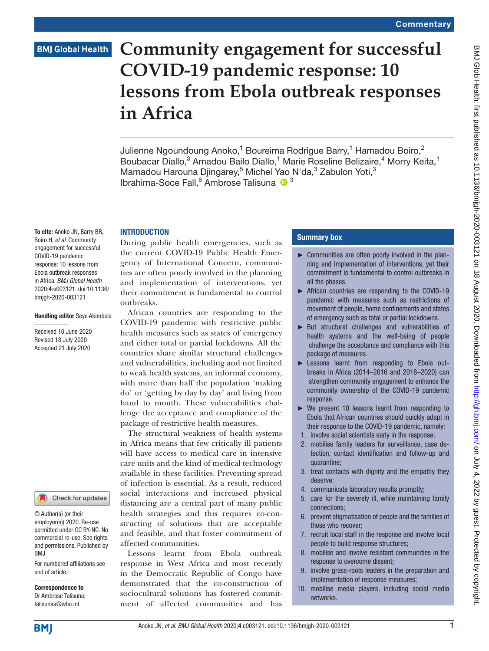# **BMJ Global Health**

# **Community engagement for successful COVID-19 pandemic response: 10 lessons from Ebola outbreak responses in Africa**

Julienne Ngoundoung Anoko,<sup>1</sup> Boureima Rodrigue Barry,<sup>1</sup> Hamadou Boiro,<sup>2</sup> Boubacar Diallo,<sup>3</sup> Amadou Bailo Diallo,<sup>1</sup> Marie Roseline Belizaire,<sup>4</sup> Morry Keita,<sup>1</sup> Mamadou Harouna Djingarey,<sup>5</sup> Michel Yao N'da,<sup>3</sup> Zabulon Yoti,<sup>3</sup> Ibrahima-Soce Fall,<sup>6</sup> Ambrose Talisuna <sup>10</sup><sup>3</sup>

### **INTRODUCTION**

To cite: Anoko JN, Barry BR, Boiro H, *et al*. Community engagement for successful COVID-19 pandemic response: 10 lessons from Ebola outbreak responses in Africa. *BMJ Global Health* 2020;4:e003121. doi:10.1136/ bmjgh-2020-003121

### Handling editor Seye Abimbola

Received 10 June 2020 Revised 18 July 2020 Accepted 21 July 2020



© Author(s) (or their employer(s)) 2020. Re-use permitted under CC BY-NC. No commercial re-use. See rights and permissions. Published by BMJ.

For numbered affiliations see end of article.

Correspondence to Dr Ambrose Talisuna; talisunaa@who.int

During public health emergencies, such as the current COVID-19 Public Health Emergency of International Concern, communities are often poorly involved in the planning and implementation of interventions, yet their commitment is fundamental to control outbreaks.

African countries are responding to the COVID-19 pandemic with restrictive public health measures such as states of emergency and either total or partial lockdowns. All the countries share similar structural challenges and vulnerabilities, including and not limited to weak health systems, an informal economy, with more than half the population 'making do' or 'getting by day by day' and living from hand to mouth. These vulnerabilities challenge the acceptance and compliance of the package of restrictive health measures.

The structural weakness of health systems in Africa means that few critically ill patients will have access to medical care in intensive care units and the kind of medical technology available in these facilities. Preventing spread of infection is essential. As a result, reduced social interactions and increased physical distancing are a central part of many public health strategies and this requires co-constructing of solutions that are acceptable and feasible, and that foster commitment of affected communities.

Lessons learnt from Ebola outbreak response in West Africa and most recently in the Democratic Republic of Congo have demonstrated that the co-construction of sociocultural solutions has fostered commitment of affected communities and has

### Summary box

- ► Communities are often poorly involved in the planning and implementation of interventions, yet their commitment is fundamental to control outbreaks in all the phases.
- ► African countries are responding to the COVID-19 pandemic with measures such as restrictions of movement of people, home confinements and states of emergency such as total or partial lockdowns.
- ► But structural challenges and vulnerabilities of health systems and the well-being of people challenge the acceptance and compliance with this package of measures.
- ► Lessons learnt from responding to Ebola outbreaks in Africa (2014–2016 and 2018–2020) can strengthen community engagement to enhance the community ownership of the COVID-19 pandemic response.
- ► We present 10 lessons learnt from responding to Ebola that African countries should quickly adapt in their response to the COVID-19 pandemic, namely:
- 1. involve social scientists early in the response;
- 2. mobilise family leaders for surveillance, case detection, contact identification and follow-up and quarantine;
- 3. treat contacts with dignity and the empathy they deserve;
- 4. communicate laboratory results promptly;
- 5. care for the severely ill, while maintaining family connections;
- 6. prevent stigmatisation of people and the families of those who recover;
- 7. recruit local staff in the response and involve local people to build response structures;
- 8. mobilise and involve resistant communities in the response to overcome dissent;
- 9. involve grass-roots leaders in the preparation and implementation of response measures;
- 10. mobilise media players, including social media networks.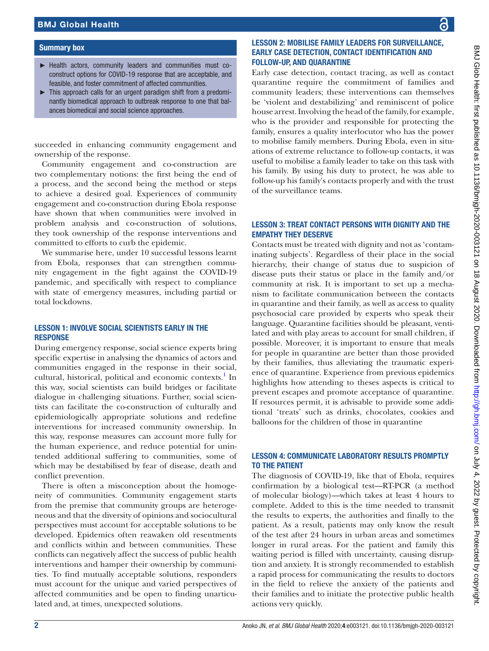### Summary box

- ► Health actors, community leaders and communities must coconstruct options for COVID-19 response that are acceptable, and feasible, and foster commitment of affected communities.
- ► This approach calls for an urgent paradigm shift from a predominantly biomedical approach to outbreak response to one that balances biomedical and social science approaches.

succeeded in enhancing community engagement and ownership of the response.

Community engagement and co-construction are two complementary notions: the first being the end of a process, and the second being the method or steps to achieve a desired goal. Experiences of community engagement and co-construction during Ebola response have shown that when communities were involved in problem analysis and co-construction of solutions, they took ownership of the response interventions and committed to efforts to curb the epidemic.

We summarise here, under 10 successful lessons learnt from Ebola, responses that can strengthen community engagement in the fight against the COVID-19 pandemic, and specifically with respect to compliance with state of emergency measures, including partial or total lockdowns.

### LESSON 1: INVOLVE SOCIAL SCIENTISTS EARLY IN THE **RESPONSE**

During emergency response, social science experts bring specific expertise in analysing the dynamics of actors and communities engaged in the response in their social, cultural, historical, political and economic contexts.<sup>[1](#page-3-0)</sup> In this way, social scientists can build bridges or facilitate dialogue in challenging situations. Further, social scientists can facilitate the co-construction of culturally and epidemiologically appropriate solutions and redefine interventions for increased community ownership. In this way, response measures can account more fully for the human experience, and reduce potential for unintended additional suffering to communities, some of which may be destabilised by fear of disease, death and conflict prevention.

There is often a misconception about the homogeneity of communities. Community engagement starts from the premise that community groups are heterogeneous and that the diversity of opinions and sociocultural perspectives must account for acceptable solutions to be developed. Epidemics often reawaken old resentments and conflicts within and between communities. These conflicts can negatively affect the success of public health interventions and hamper their ownership by communities. To find mutually acceptable solutions, responders must account for the unique and varied perspectives of affected communities and be open to finding unarticulated and, at times, unexpected solutions.

# LESSON 2: MOBILISE FAMILY LEADERS FOR SURVEILLANCE, EARLY CASE DETECTION, CONTACT IDENTIFICATION AND FOLLOW-UP, AND QUARANTINE

Early case detection, contact tracing, as well as contact quarantine require the commitment of families and community leaders; these interventions can themselves be 'violent and destabilizing' and reminiscent of police house arrest. Involving the head of the family, for example, who is the provider and responsible for protecting the family, ensures a quality interlocutor who has the power to mobilise family members. During Ebola, even in situations of extreme reluctance to follow-up contacts, it was useful to mobilise a family leader to take on this task with his family. By using his duty to protect, he was able to follow-up his family's contacts properly and with the trust of the surveillance teams.

### LESSON 3: TREAT CONTACT PERSONS WITH DIGNITY AND THE EMPATHY THEY DESERVE

Contacts must be treated with dignity and not as 'contaminating subjects'. Regardless of their place in the social hierarchy, their change of status due to suspicion of disease puts their status or place in the family and/or community at risk. It is important to set up a mechanism to facilitate communication between the contacts in quarantine and their family, as well as access to quality psychosocial care provided by experts who speak their language. Quarantine facilities should be pleasant, ventilated and with play areas to account for small children, if possible. Moreover, it is important to ensure that meals for people in quarantine are better than those provided by their families, thus alleviating the traumatic experience of quarantine. Experience from previous epidemics highlights how attending to theses aspects is critical to prevent escapes and promote acceptance of quarantine. If resources permit, it is advisable to provide some additional 'treats' such as drinks, chocolates, cookies and balloons for the children of those in quarantine

# LESSON 4: COMMUNICATE LABORATORY RESULTS PROMPTLY TO THE PATIENT

The diagnosis of COVID-19, like that of Ebola, requires confirmation by a biological test—RT-PCR (a method of molecular biology)—which takes at least 4 hours to complete. Added to this is the time needed to transmit the results to experts, the authorities and finally to the patient. As a result, patients may only know the result of the test after 24 hours in urban areas and sometimes longer in rural areas. For the patient and family this waiting period is filled with uncertainty, causing disruption and anxiety. It is strongly recommended to establish a rapid process for communicating the results to doctors in the field to relieve the anxiety of the patients and their families and to initiate the protective public health actions very quickly.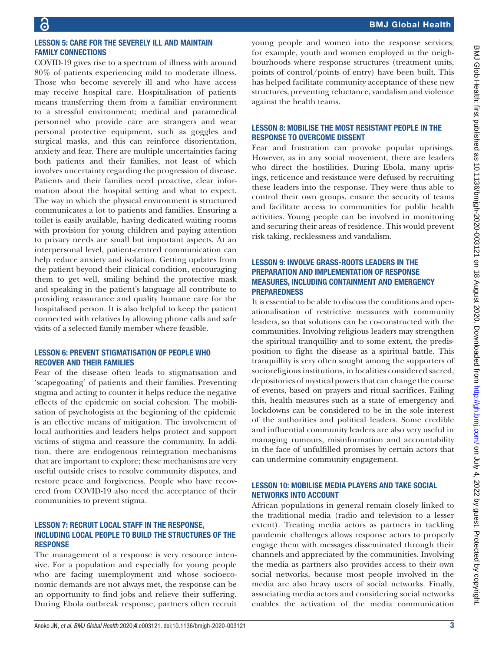# BMJ Glob Health: first published as 10.1136/bnigh-2020-003121 on 18 August 2020. Downloaded from http://gh.bmj.com/ on July 4, 2022 by guest. Protected by copyright BMJ Glob Health: first published as 10.1136/bmjgh-2020-003121 on 18 August 2020. Downloaded from <http://gh.bmj.com/> on July 4, 2022 by guest. Protected by copyright

### LESSON 5: CARE FOR THE SEVERELY ILL AND MAINTAIN FAMILY CONNECTIONS

COVID-19 gives rise to a spectrum of illness with around 80% of patients experiencing mild to moderate illness. Those who become severely ill and who have access may receive hospital care. Hospitalisation of patients means transferring them from a familiar environment to a stressful environment; medical and paramedical personnel who provide care are strangers and wear personal protective equipment, such as goggles and surgical masks, and this can reinforce disorientation, anxiety and fear. There are multiple uncertainties facing both patients and their families, not least of which involves uncertainty regarding the progression of disease. Patients and their families need proactive, clear information about the hospital setting and what to expect. The way in which the physical environment is structured communicates a lot to patients and families. Ensuring a toilet is easily available, having dedicated waiting rooms with provision for young children and paying attention to privacy needs are small but important aspects. At an interpersonal level, patient-centred communication can help reduce anxiety and isolation. Getting updates from the patient beyond their clinical condition, encouraging them to get well, smiling behind the protective mask and speaking in the patient's language all contribute to providing reassurance and quality humane care for the hospitalised person. It is also helpful to keep the patient connected with relatives by allowing phone calls and safe visits of a selected family member where feasible.

# LESSON 6: PREVENT STIGMATISATION OF PEOPLE WHO RECOVER AND THEIR FAMILIES

Fear of the disease often leads to stigmatisation and 'scapegoating' of patients and their families. Preventing stigma and acting to counter it helps reduce the negative effects of the epidemic on social cohesion. The mobilisation of psychologists at the beginning of the epidemic is an effective means of mitigation. The involvement of local authorities and leaders helps protect and support victims of stigma and reassure the community. In addition, there are endogenous reintegration mechanisms that are important to explore; these mechanisms are very useful outside crises to resolve community disputes, and restore peace and forgiveness. People who have recovered from COVID-19 also need the acceptance of their communities to prevent stigma.

### LESSON 7: RECRUIT LOCAL STAFF IN THE RESPONSE, INCLUDING LOCAL PEOPLE TO BUILD THE STRUCTURES OF THE **RESPONSE**

The management of a response is very resource intensive. For a population and especially for young people who are facing unemployment and whose socioeconomic demands are not always met, the response can be an opportunity to find jobs and relieve their suffering. During Ebola outbreak response, partners often recruit young people and women into the response services; for example, youth and women employed in the neighbourhoods where response structures (treatment units, points of control/points of entry) have been built. This has helped facilitate community acceptance of these new structures, preventing reluctance, vandalism and violence against the health teams.

# LESSON 8: MOBILISE THE MOST RESISTANT PEOPLE IN THE RESPONSE TO OVERCOME DISSENT

Fear and frustration can provoke popular uprisings. However, as in any social movement, there are leaders who direct the hostilities. During Ebola, many uprisings, reticence and resistance were defused by recruiting these leaders into the response. They were thus able to control their own groups, ensure the security of teams and facilitate access to communities for public health activities. Young people can be involved in monitoring and securing their areas of residence. This would prevent risk taking, recklessness and vandalism.

# LESSON 9: INVOLVE GRASS-ROOTS LEADERS IN THE PREPARATION AND IMPLEMENTATION OF RESPONSE MEASURES, INCLUDING CONTAINMENT AND EMERGENCY PREPAREDNESS

It is essential to be able to discuss the conditions and operationalisation of restrictive measures with community leaders, so that solutions can be co-constructed with the communities. Involving religious leaders may strengthen the spiritual tranquillity and to some extent, the predisposition to fight the disease as a spiritual battle. This tranquillity is very often sought among the supporters of socioreligious institutions, in localities considered sacred, depositories of mystical powers that can change the course of events, based on prayers and ritual sacrifices. Failing this, health measures such as a state of emergency and lockdowns can be considered to be in the sole interest of the authorities and political leaders. Some credible and influential community leaders are also very useful in managing rumours, misinformation and accountability in the face of unfulfilled promises by certain actors that can undermine community engagement.

# LESSON 10: MOBILISE MEDIA PLAYERS AND TAKE SOCIAL NETWORKS INTO ACCOUNT

African populations in general remain closely linked to the traditional media (radio and television to a lesser extent). Treating media actors as partners in tackling pandemic challenges allows response actors to properly engage them with messages disseminated through their channels and appreciated by the communities. Involving the media as partners also provides access to their own social networks, because most people involved in the media are also heavy users of social networks. Finally, associating media actors and considering social networks enables the activation of the media communication